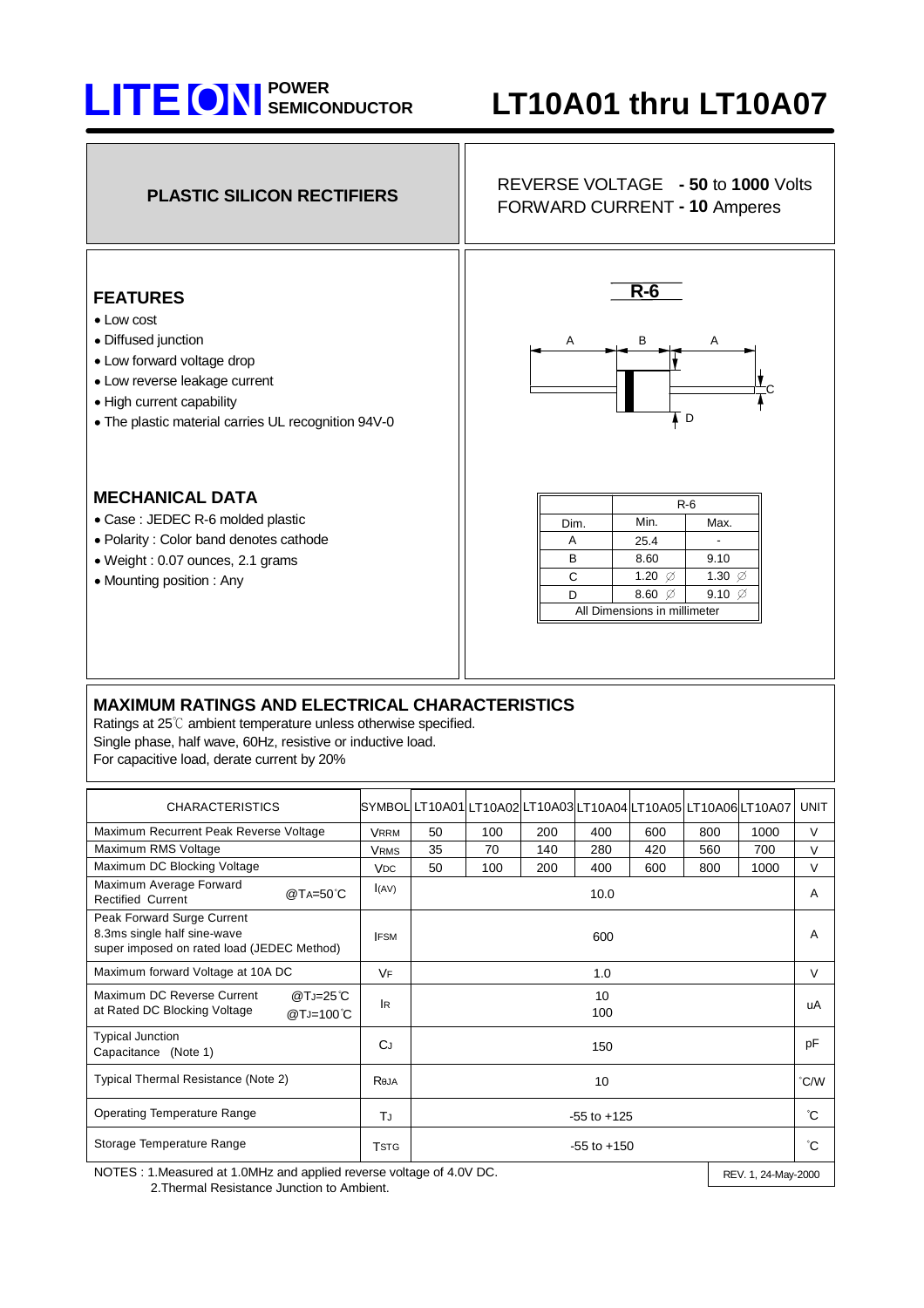## **POWER LITE ON SEMICONDUCTOR LT10A01 thru LT10A07**



| <b>CHARACTERISTICS</b>                                                                                  |                       |                 |     | SYMBOL LT10A01 LT10A02 LT10A03 LT10A04 LT10A05 LT10A06 LT10A07 |     |     |     |      | <b>UNIT</b> |
|---------------------------------------------------------------------------------------------------------|-----------------------|-----------------|-----|----------------------------------------------------------------|-----|-----|-----|------|-------------|
| Maximum Recurrent Peak Reverse Voltage                                                                  | <b>VRRM</b>           | 50              | 100 | 200                                                            | 400 | 600 | 800 | 1000 | $\vee$      |
| Maximum RMS Voltage                                                                                     | <b>VRMS</b>           | 35              | 70  | 140                                                            | 280 | 420 | 560 | 700  | $\vee$      |
| Maximum DC Blocking Voltage                                                                             | <b>V<sub>DC</sub></b> | 50              | 100 | 200                                                            | 400 | 600 | 800 | 1000 | $\vee$      |
| Maximum Average Forward<br>@TA=50°C<br><b>Rectified Current</b>                                         | I(AV)                 | 10.0            |     |                                                                |     |     |     |      | A           |
| Peak Forward Surge Current<br>8.3ms single half sine-wave<br>super imposed on rated load (JEDEC Method) | <b>IFSM</b>           | 600             |     |                                                                |     |     |     |      | A           |
| Maximum forward Voltage at 10A DC                                                                       | <b>VF</b>             | 1.0             |     |                                                                |     |     |     |      | $\vee$      |
| Maximum DC Reverse Current<br>@TJ=25°C<br>at Rated DC Blocking Voltage<br>$@T_J=100°C$                  | <b>IR</b>             | 10<br>100       |     |                                                                |     |     |     |      | uA          |
| <b>Typical Junction</b><br>Capacitance (Note 1)                                                         | CJ                    | 150             |     |                                                                |     |     |     |      | pF          |
| Typical Thermal Resistance (Note 2)                                                                     | Reja                  | 10              |     |                                                                |     |     |     | °C/W |             |
| <b>Operating Temperature Range</b>                                                                      | TJ                    | $-55$ to $+125$ |     |                                                                |     |     |     |      | °C          |
| Storage Temperature Range                                                                               | Tste                  | $-55$ to $+150$ |     |                                                                |     |     |     |      | °С          |

NOTES : 1.Measured at 1.0MHz and applied reverse voltage of 4.0V DC. 2.Thermal Resistance Junction to Ambient.

REV. 1, 24-May-2000